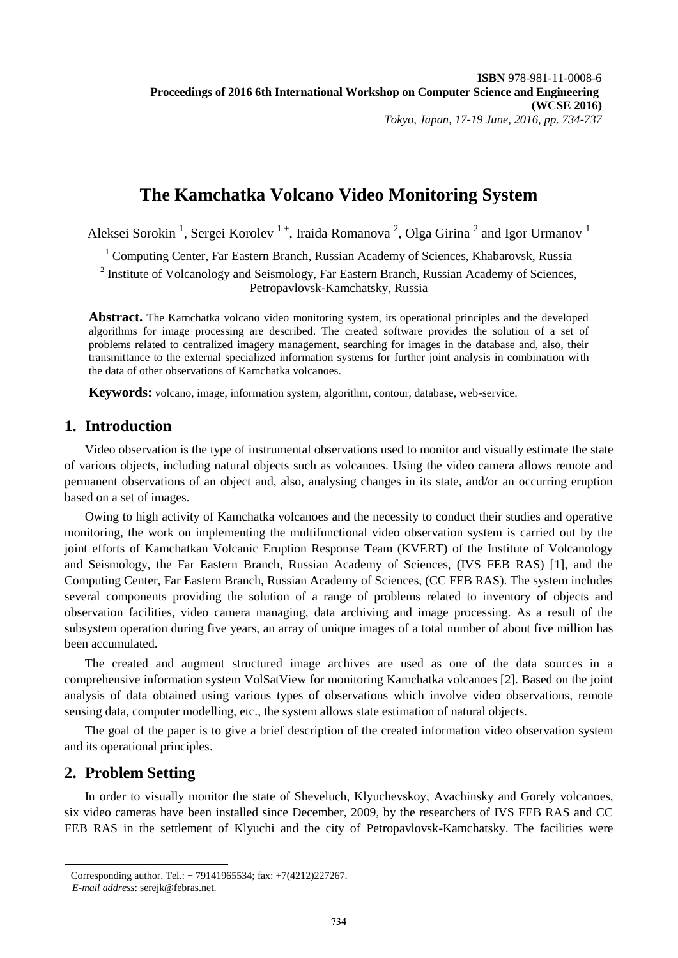# **The Kamchatka Volcano Video Monitoring System**

Aleksei Sorokin<sup>1</sup>, Sergei Korolev<sup>1+</sup>, Iraida Romanova<sup>2</sup>, Olga Girina<sup>2</sup> and Igor Urmanov<sup>1</sup>

<sup>1</sup> Computing Center, Far Eastern Branch, Russian Academy of Sciences, Khabarovsk, Russia

<sup>2</sup> Institute of Volcanology and Seismology, Far Eastern Branch, Russian Academy of Sciences, Petropavlovsk-Kamchatsky, Russia

**Abstract.** The Kamchatka volcano video monitoring system, its operational principles and the developed algorithms for image processing are described. The created software provides the solution of a set of problems related to centralized imagery management, searching for images in the database and, also, their transmittance to the external specialized information systems for further joint analysis in combination with the data of other observations of Kamchatka volcanoes.

**Keywords:** volcano, image, information system, algorithm, contour, database, web-service.

### **1. Introduction**

Video observation is the type of instrumental observations used to monitor and visually estimate the state of various objects, including natural objects such as volcanoes. Using the video camera allows remote and permanent observations of an object and, also, analysing changes in its state, and/or an occurring eruption based on a set of images.

Owing to high activity of Kamchatka volcanoes and the necessity to conduct their studies and operative monitoring, the work on implementing the multifunctional video observation system is carried out by the joint efforts of Kamchatkan Volcanic Eruption Response Team (KVERT) of the Institute of Volcanology and Seismology, the Far Eastern Branch, Russian Academy of Sciences, (IVS FEB RAS) [1], and the Computing Center, Far Eastern Branch, Russian Academy of Sciences, (CC FEB RAS). The system includes several components providing the solution of a range of problems related to inventory of objects and observation facilities, video camera managing, data archiving and image processing. As a result of the subsystem operation during five years, an array of unique images of a total number of about five million has been accumulated.

The created and augment structured image archives are used as one of the data sources in a comprehensive information system VolSatView for monitoring Kamchatka volcanoes [2]. Based on the joint analysis of data obtained using various types of observations which involve video observations, remote sensing data, computer modelling, etc., the system allows state estimation of natural objects.

The goal of the paper is to give a brief description of the created information video observation system and its operational principles.

### **2. Problem Setting**

1

In order to visually monitor the state of Sheveluch, Klyuchevskoy, Avachinsky and Gorely volcanoes, six video cameras have been installed since December, 2009, by the researchers of IVS FEB RAS and CC FEB RAS in the settlement of Klyuchi and the city of Petropavlovsk-Kamchatsky. The facilities were

<sup>+</sup> Corresponding author. Tel.: + 79141965534; fax: +7(4212)227267. *E-mail address*: serejk@febras.net.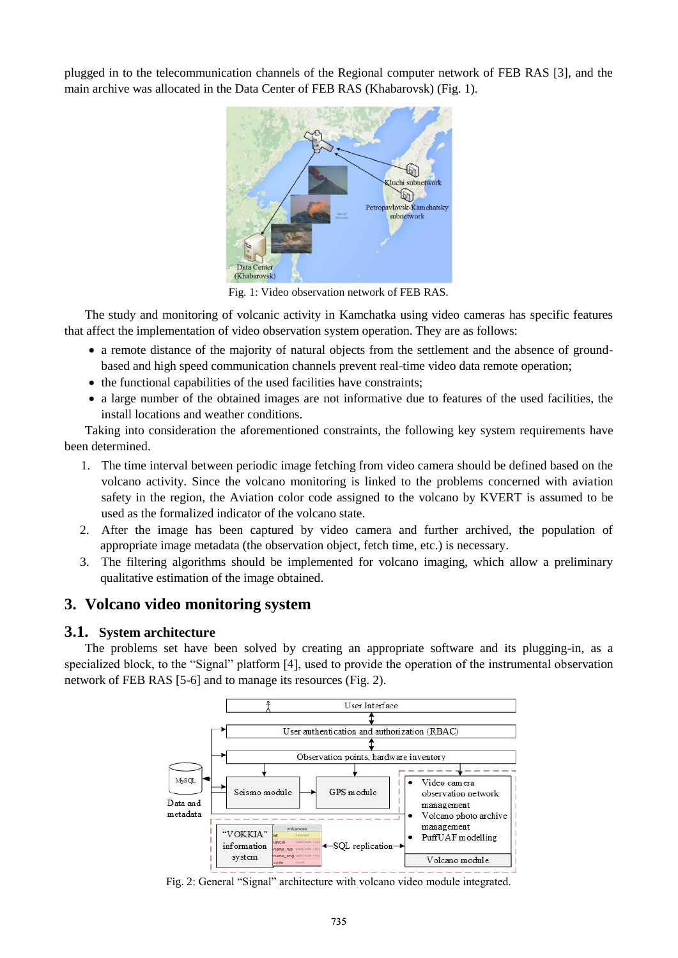plugged in to the telecommunication channels of the Regional computer network of FEB RAS [3], and the main archive was allocated in the Data Center of FEB RAS (Khabarovsk) (Fig. 1).



Fig. 1: Video observation network of FEB RAS.

The study and monitoring of volcanic activity in Kamchatka using video cameras has specific features that affect the implementation of video observation system operation. They are as follows:

- a remote distance of the majority of natural objects from the settlement and the absence of groundbased and high speed communication channels prevent real-time video data remote operation;
- $\bullet$  the functional capabilities of the used facilities have constraints;
- a large number of the obtained images are not informative due to features of the used facilities, the install locations and weather conditions.

Taking into consideration the aforementioned constraints, the following key system requirements have been determined.

- 1. The time interval between periodic image fetching from video camera should be defined based on the volcano activity. Since the volcano monitoring is linked to the problems concerned with aviation safety in the region, the Aviation color code assigned to the volcano by KVERT is assumed to be used as the formalized indicator of the volcano state.
- 2. After the image has been captured by video camera and further archived, the population of appropriate image metadata (the observation object, fetch time, etc.) is necessary.
- 3. The filtering algorithms should be implemented for volcano imaging, which allow a preliminary qualitative estimation of the image obtained.

## **3. Volcano video monitoring system**

#### **3.1. System architecture**

The problems set have been solved by creating an appropriate software and its plugging-in, as a specialized block, to the "Signal" platform [4], used to provide the operation of the instrumental observation network of FEB RAS [5-6] and to manage its resources (Fig. 2).



Fig. 2: General "Signal" architecture with volcano video module integrated.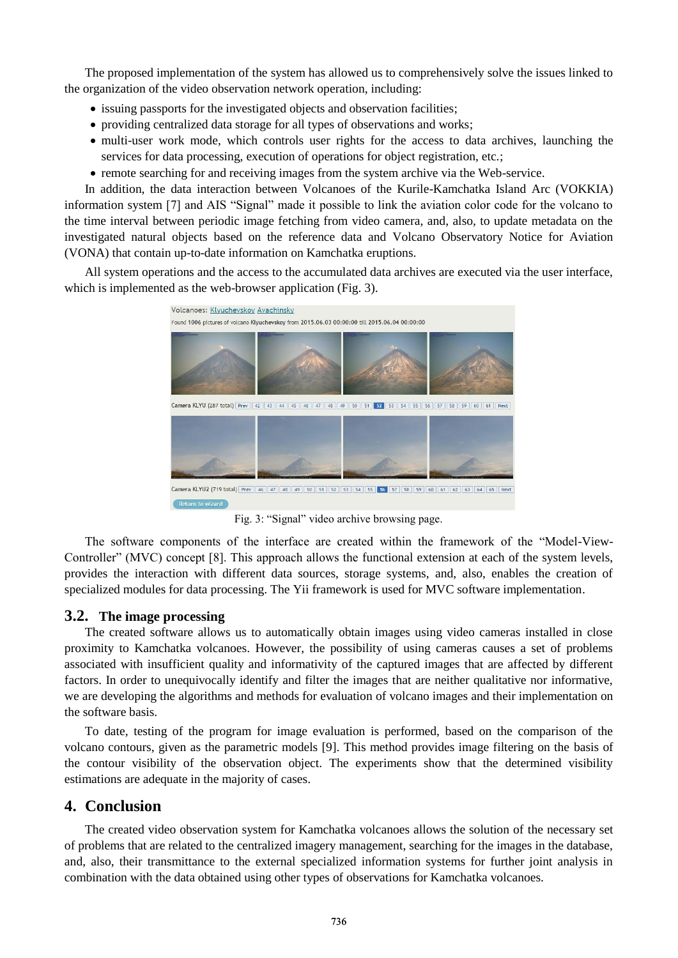The proposed implementation of the system has allowed us to comprehensively solve the issues linked to the organization of the video observation network operation, including:

- issuing passports for the investigated objects and observation facilities;
- providing centralized data storage for all types of observations and works;
- multi-user work mode, which controls user rights for the access to data archives, launching the services for data processing, execution of operations for object registration, etc.;
- remote searching for and receiving images from the system archive via the Web-service.

In addition, the data interaction between Volcanoes of the Kurile-Kamchatka Island Arc (VOKKIA) information system [7] and AIS "Signal" made it possible to link the aviation color code for the volcano to the time interval between periodic image fetching from video camera, and, also, to update metadata on the investigated natural objects based on the reference data and Volcano Observatory Notice for Aviation (VONA) that contain up-to-date information on Kamchatka eruptions.

All system operations and the access to the accumulated data archives are executed via the user interface, which is implemented as the web-browser application (Fig. 3).



Fig. 3: "Signal" video archive browsing page.

The software components of the interface are created within the framework of the "Model-View-Controller" (MVC) concept [8]. This approach allows the functional extension at each of the system levels, provides the interaction with different data sources, storage systems, and, also, enables the creation of specialized modules for data processing. The Yii framework is used for MVC software implementation.

#### **3.2. The image processing**

The created software allows us to automatically obtain images using video cameras installed in close proximity to Kamchatka volcanoes. However, the possibility of using cameras causes a set of problems associated with insufficient quality and informativity of the captured images that are affected by different factors. In order to unequivocally identify and filter the images that are neither qualitative nor informative, we are developing the algorithms and methods for evaluation of volcano images and their implementation on the software basis.

To date, testing of the program for image evaluation is performed, based on the comparison of the volcano contours, given as the parametric models [9]. This method provides image filtering on the basis of the contour visibility of the observation object. The experiments show that the determined visibility estimations are adequate in the majority of cases.

## **4. Conclusion**

The created video observation system for Kamchatka volcanoes allows the solution of the necessary set of problems that are related to the centralized imagery management, searching for the images in the database, and, also, their transmittance to the external specialized information systems for further joint analysis in combination with the data obtained using other types of observations for Kamchatka volcanoes.